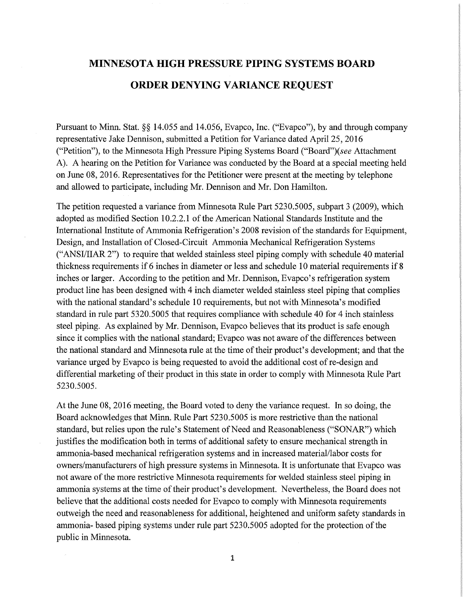## **MINNESOTA HIGH PRESSURE PIPING SYSTEMS BOARD ORDER DENYING VARIANCE REQUEST**

Pursuant to Minn. Stat. §§ 14.055 and 14.056, Evapco, Inc. ("Evapco"), by and through company representative Jake Dennison, submitted a Petition for Variance dated April 25, 2016 ("Petition"), to the Minnesota High Pressure Piping Systems Board ("Board")(see Attachment A). A hearing on the Petition for Variance was conducted by the Board at a special meeting held on June 08, 2016. Representatives for the Petitioner were present at the meeting by telephone and allowed to participate, including Mr. Dennison and Mr. Don Hamilton.

The petition requested a variance from Minnesota Rule Part 5230.5005, subpart 3 (2009), which adopted as modified Section 10.2.2.1 of the American National Standards Institute and the International Institute of Ammonia Refrigeration's 2008 revision of the standards for Equipment, Design, and Installation of Closed-Circuit Ammonia Mechanical Refrigeration Systems ("ANSI/HAR 2") to require that welded stainless steel piping comply with schedule 40 material thickness requirements if 6 inches in diameter or less and schedule 10 material requirements if 8 inches or larger. According to the petition and Mr. Dennison, Evapco's refrigeration system product line has been designed with 4 inch diameter welded stainless steel piping that complies with the national standard's schedule 10 requirements, but not with Minnesota's modified standard in rule part 5320.5005 that requires compliance with schedule 40 for 4 inch stainless steel piping. As explained by Mr. Dennison, Evapco believes that its product is safe enough since it complies with the national standard; Evapco was not aware of the differences between the national standard and Minnesota rule at the time of their product's development; and that the variance urged by Evapco is being requested to avoid the additional cost of re-design and differential marketing of their product in this state in order to comply with Minnesota Rule Part 5230.5005.

At the June 08, 2016 meeting, the Board voted to deny the variance request. In so doing, the Board acknowledges that Minn. Rule Part 5230.5005 is more restrictive than the national standard, but relies upon the rule's Statement of Need and Reasonableness ("SONAR") which justifies the modification both in terms of additional safety to ensure mechanical strength in ammonia-based mechanical refrigeration systems and in increased material/labor costs for owners/manufacturers of high pressure systems in Minnesota. It is unfortunate that Evapco was not aware of the more restrictive Minnesota requirements for welded stainless steel piping in ammonia systems at the time of their product's development. Nevertheless, the Board does not believe that the additional costs needed for Evapco to comply with Minnesota requirements outweigh the need and reasonableness for additional, heightened and uniform safety standards in ammonia- based piping systems under rule part 5230.5005 adopted for the protection of the public in Minnesota.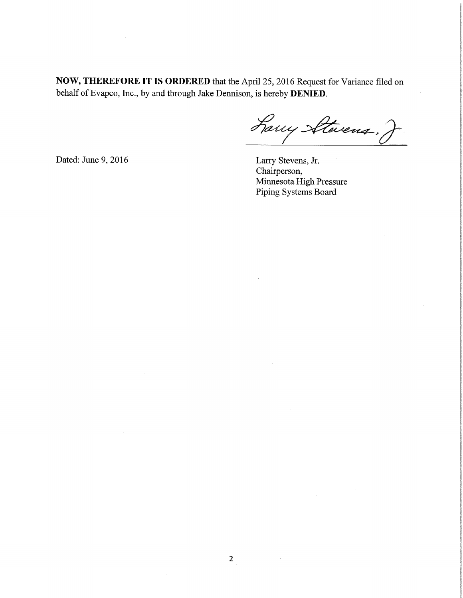**NOW, THEREFORE IT IS ORDERED** that the April 25, 2016 Request for Variance filed on behalf of Evapco, Inc., by and through Jake Dennison, is hereby **DENIED**.

Larry Stevens,

Dated: June 9, 2016 Larry Stevens, Jr.

Chairperson, Minnesota High Pressure Piping Systems Board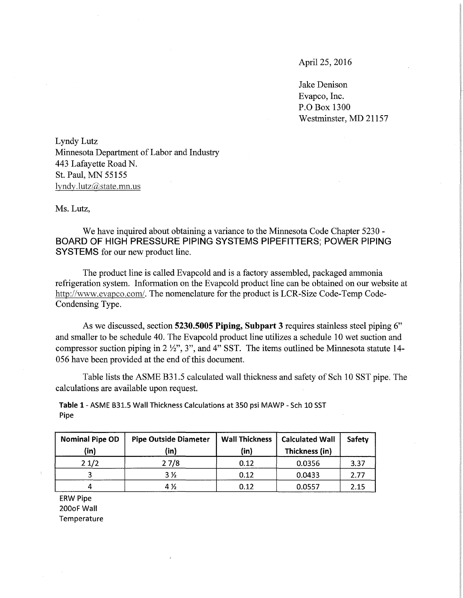April 25, 2016

Jake Denison Evapco, Inc. P.O Box 1300 Westminster, MD 21157

Lyndy Lutz Minnesota Department of Labor and Industry 443 Lafayette Road N. St. Paul, MN 55155  $lyndy.lutz@state.mn.us$ 

Ms. Lutz,

We have inquired about obtaining a variance to the Minnesota Code Chapter 5230 **BOARD OF HIGH PRESSURE PIPING SYSTEMS PIPEFITTERS; POWER PIPING SYSTEMS** for our new product line.

The product line is called Evapcold and is a factory assembled, packaged ammonia refrigeration system. Information on the Evapcold product line can be obtained on our website at http://www.evapco.com/. The nomenclature for the product is LCR-Size Code-Temp Code-Condensing Type.

As we discussed, section **5230.5005 Piping, Subpart 3** requires stainless steel piping 6" and smaller to be schedule 40. The Evapcold product line utilizes a schedule 10 wet suction and compressor suction piping in  $2 \frac{1}{2}$ , 3", and 4" SST. The items outlined be Minnesota statute 14-056 have been provided at the end of this document.

Table lists the ASME B31.5 calculated wall thickness and safety of Sch 10 SST pipe. The calculations are available upon request.

**Table** 1-ASME B31.5 Wall Thickness Calculations at 350 psi MAWP - Sch 10 SST Pipe

| <b>Nominal Pipe OD</b> | <b>Pipe Outside Diameter</b> | <b>Wall Thickness</b> | <b>Calculated Wall</b> | Safety |
|------------------------|------------------------------|-----------------------|------------------------|--------|
| (in)                   | (in)                         | (in)                  | Thickness (in)         |        |
| 21/2                   | 27/8                         | 0.12                  | 0.0356                 | 3.37   |
|                        | 3 %                          | 0.12                  | 0.0433                 | 2.77   |
|                        | 4 %                          | 0.12                  | 0.0557                 | 2.15   |

ERW Pipe 200oF Wall Temperature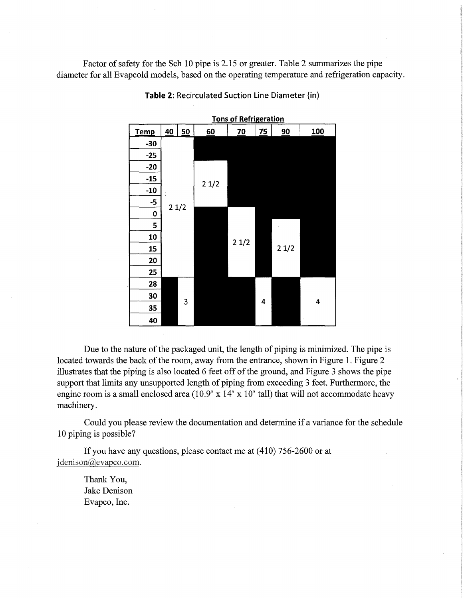Factor of safety for the Sch 10 pipe is 2.15 or greater. Table 2 summarizes the pipe diameter for all Evapcold models, based on the operating temperature and refrigeration capacity.



**Table 2: Recirculated Suction Line Diameter (in)** 

Due to the nature of the packaged unit, the length of piping is minimized. The pipe is located towards the back of the room, away from the entrance, shown in Figure 1. Figure 2 illustrates that the piping is also located  $6$  feet off of the ground, and Figure  $3$  shows the pipe support that limits any unsupported length of piping from exceeding 3 feet. Furthermore, the engine room is a small enclosed area (10.9' x 14' x 10' tall) that will not accommodate heavy machinery.

Could you please review the documentation and determine if a variance for the schedule 10 piping is possible?

If you have any questions, please contact me at (410) 756-2600 or at jdenison@evapco.com.

Thank You, Jake Denison Evapco, Inc.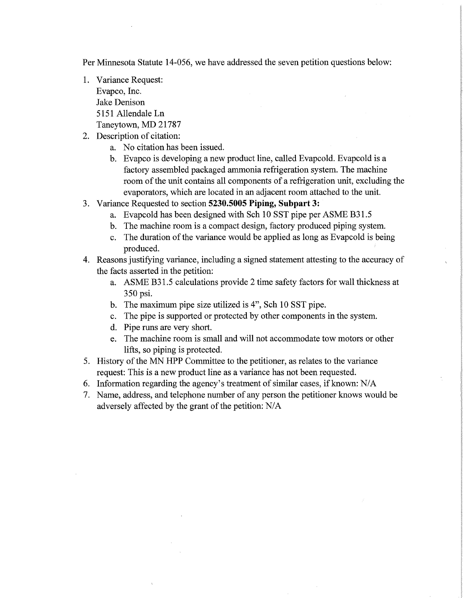Per Minnesota Statute 14-056, we have addressed the seven petition questions below:

- 1. Variance Request: Evapco, Inc. Jake Denison 5151 Allendale Ln Taneytown, MD 21787
- 2. Description of citation:
	- a. No citation has been issued.
	- b. Evapco is developing a new product line, called Evapcold. Evapcold is a factory assembled packaged ammonia refrigeration system. The machine room of the unit contains all components of a refrigeration unit, excluding the evaporators, which are located in an adjacent room attached to the unit.
- 3. Variance Requested to section **5230.5005 Piping, Subpart 3:** 
	- a. Evapcold has been designed with Sch 10 SST pipe per ASME B31.5
	- b. The machine room is a compact design, factory produced piping system.
	- c. The duration of the variance would be applied as long as Evapcold is being produced.
- 4. Reasons justifying variance, including a signed statement attesting to the accuracy of the facts asserted in the petition:
	- a. ASME B31.5 calculations provide 2 time safety factors for wall thickness at 350 psi.
	- b. The maximum pipe size utilized is 4", Sch 10 SST pipe.
	- c. The pipe is supported or protected by other components in the system.
	- d. Pipe runs are very short.
	- e. The machine room is small and will not accommodate tow motors or other lifts, so piping is protected.
- 5. History of the MN HPP Committee to the petitioner, as relates to the variance request: This is a new product line as a variance has not been requested.
- 6. Information regarding the agency's treatment of similar cases, if known:  $N/A$
- 7. Name, address, and telephone number of any person the petitioner knows would be adversely affected by the grant of the petition: N/A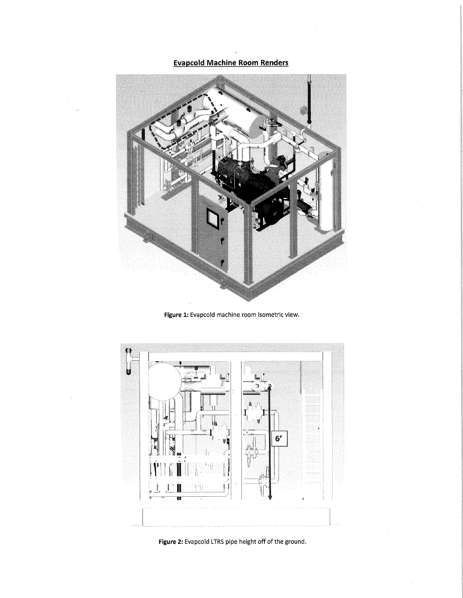**Evapcold Machine Room Renders** 



**Figure 1:** Evapcold machine room isometric view.



**Figure 2:** Evapcold LTRS pipe height off of the ground.